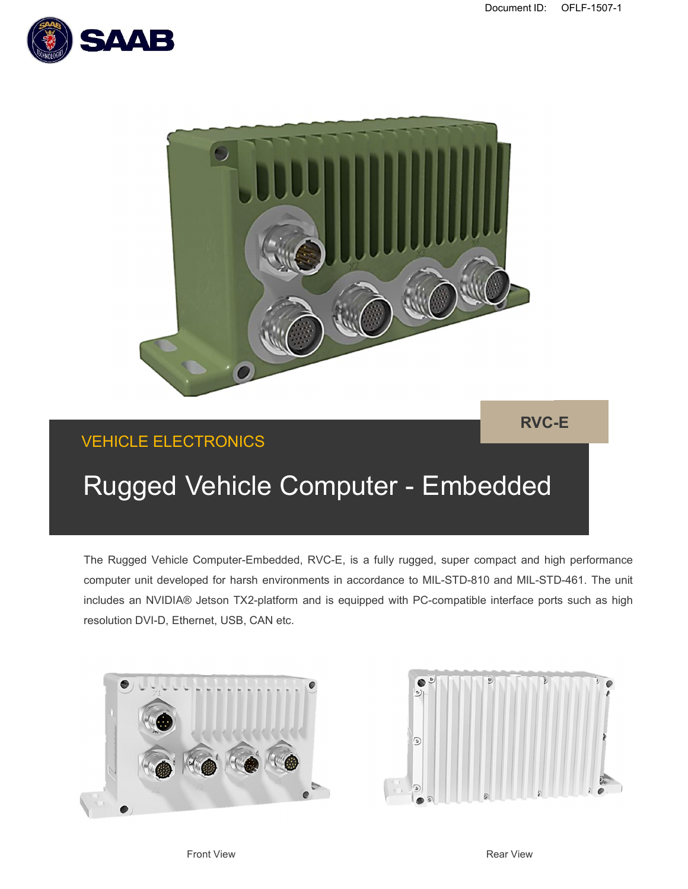



## VEHICLE ELECTRONICS

# Rugged Vehicle Computer - Embedded

The Rugged Vehicle Computer-Embedded, RVC-E, is a fully rugged, super compact and high performance computer unit developed for harsh environments in accordance to MIL-STD-810 and MIL-STD-461. The unit includes an NVIDIA® Jetson TX2-platform and is equipped with PC-compatible interface ports such as high resolution DVI-D, Ethernet, USB, CAN etc.